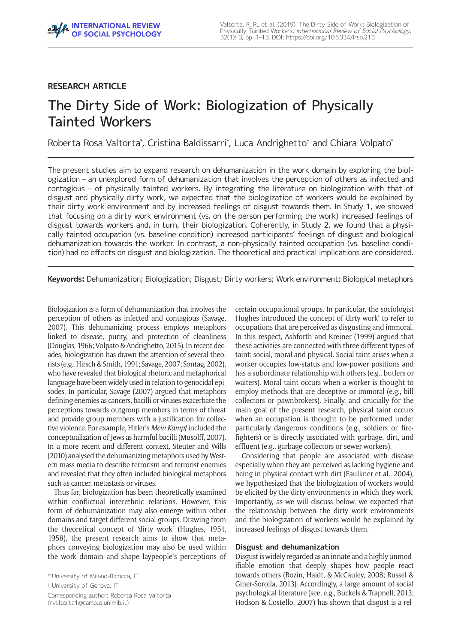# **RESEARCH ARTICLE**

# The Dirty Side of Work: Biologization of Physically Tainted Workers

Roberta Rosa Valtorta\* , Cristina Baldissarri\* , Luca Andrighetto† and Chiara Volpato\*

The present studies aim to expand research on dehumanization in the work domain by exploring the biologization – an unexplored form of dehumanization that involves the perception of others as infected and contagious – of physically tainted workers. By integrating the literature on biologization with that of disgust and physically dirty work, we expected that the biologization of workers would be explained by their dirty work environment and by increased feelings of disgust towards them. In Study 1, we showed that focusing on a dirty work environment (vs. on the person performing the work) increased feelings of disgust towards workers and, in turn, their biologization. Coherently, in Study 2, we found that a physically tainted occupation (vs. baseline condition) increased participants' feelings of disgust and biological dehumanization towards the worker. In contrast, a non-physically tainted occupation (vs. baseline condition) had no effects on disgust and biologization. The theoretical and practical implications are considered.

**Keywords:** Dehumanization; Biologization; Disgust; Dirty workers; Work environment; Biological metaphors

Biologization is a form of dehumanization that involves the perception of others as infected and contagious (Savage, 2007). This dehumanizing process employs metaphors linked to disease, purity, and protection of cleanliness (Douglas, 1966; Volpato & Andrighetto, 2015). In recent decades, biologization has drawn the attention of several theorists (e.g., Hirsch & Smith, 1991; Savage, 2007; Sontag, 2002), who have revealed that biological rhetoric and metaphorical language have been widely used in relation to genocidal episodes. In particular, Savage (2007) argued that metaphors defining enemies as cancers, bacilli or viruses exacerbate the perceptions towards outgroup members in terms of threat and provide group members with a justification for collective violence. For example, Hitler's *Mein Kampf* included the conceptualization of Jews as harmful bacilli (Musolff, 2007). In a more recent and different context, Steuter and Wills (2010) analysed the dehumanizing metaphors used by Western mass media to describe terrorism and terrorist enemies and revealed that they often included biological metaphors such as cancer, metastasis or viruses.

Thus far, biologization has been theoretically examined within conflictual interethnic relations. However, this form of dehumanization may also emerge within other domains and target different social groups. Drawing from the theoretical concept of 'dirty work' (Hughes, 1951, 1958), the present research aims to show that metaphors conveying biologization may also be used within the work domain and shape laypeople's perceptions of

Corresponding author: Roberta Rosa Valtorta [\(r.valtorta1@campus.unimib.it\)](mailto:r.valtorta1@campus.unimib.it)

certain occupational groups. In particular, the sociologist Hughes introduced the concept of 'dirty work' to refer to occupations that are perceived as disgusting and immoral. In this respect, Ashforth and Kreiner (1999) argued that these activities are connected with three different types of taint: social, moral and physical. Social taint arises when a worker occupies low-status and low-power positions and has a subordinate relationship with others (e.g., butlers or waiters). Moral taint occurs when a worker is thought to employ methods that are deceptive or immoral (e.g., bill collectors or pawnbrokers). Finally, and crucially for the main goal of the present research, physical taint occurs when an occupation is thought to be performed under particularly dangerous conditions (e.g., soldiers or firefighters) or is directly associated with garbage, dirt, and effluent (e.g., garbage collectors or sewer workers).

Considering that people are associated with disease especially when they are perceived as lacking hygiene and being in physical contact with dirt (Faulkner et al., 2004), we hypothesized that the biologization of workers would be elicited by the dirty environments in which they work. Importantly, as we will discuss below, we expected that the relationship between the dirty work environments and the biologization of workers would be explained by increased feelings of disgust towards them.

## **Disgust and dehumanization**

Disgust is widely regarded as an innate and a highly unmodifiable emotion that deeply shapes how people react towards others (Rozin, Haidt, & McCauley, 2008; Russel & Giner-Sorolla, 2013). Accordingly, a large amount of social psychological literature (see, e.g., Buckels & Trapnell, 2013; Hodson & Costello, 2007) has shown that disgust is a rel-

<sup>\*</sup> University of Milano-Bicocca, IT

<sup>†</sup> University of Genova, IT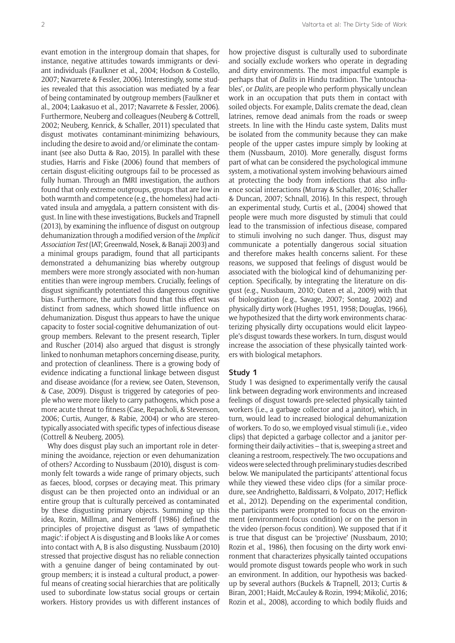evant emotion in the intergroup domain that shapes, for instance, negative attitudes towards immigrants or deviant individuals (Faulkner et al., 2004; Hodson & Costello, 2007; Navarrete & Fessler, 2006). Interestingly, some studies revealed that this association was mediated by a fear of being contaminated by outgroup members (Faulkner et al., 2004; Laakasuo et al., 2017; Navarrete & Fessler, 2006). Furthermore, Neuberg and colleagues (Neuberg & Cottrell, 2002; Neuberg, Kenrick, & Schaller, 2011) speculated that disgust motivates contaminant-minimizing behaviours, including the desire to avoid and/or eliminate the contaminant (see also Dutta & Rao, 2015). In parallel with these studies, Harris and Fiske (2006) found that members of certain disgust-eliciting outgroups fail to be processed as fully human. Through an fMRI investigation, the authors found that only extreme outgroups, groups that are low in both warmth and competence (e.g., the homeless) had activated insula and amygdala, a pattern consistent with disgust. In line with these investigations, Buckels and Trapnell (2013), by examining the influence of disgust on outgroup dehumanization through a modified version of the *Implicit Association Test* (IAT; Greenwald, Nosek, & Banaji 2003) and a minimal groups paradigm, found that all participants demonstrated a dehumanizing bias whereby outgroup members were more strongly associated with non-human entities than were ingroup members. Crucially, feelings of disgust significantly potentiated this dangerous cognitive bias. Furthermore, the authors found that this effect was distinct from sadness, which showed little influence on dehumanization. Disgust thus appears to have the unique capacity to foster social-cognitive dehumanization of outgroup members. Relevant to the present research, Tipler and Ruscher (2014) also argued that disgust is strongly linked to nonhuman metaphors concerning disease, purity, and protection of cleanliness. There is a growing body of evidence indicating a functional linkage between disgust and disease avoidance (for a review, see Oaten, Stevenson, & Case, 2009). Disgust is triggered by categories of people who were more likely to carry pathogens, which pose a more acute threat to fitness (Case, Repacholi, & Stevenson, 2006; Curtis, Aunger, & Rabie, 2004) or who are stereotypically associated with specific types of infectious disease (Cottrell & Neuberg, 2005).

Why does disgust play such an important role in determining the avoidance, rejection or even dehumanization of others? According to Nussbaum (2010), disgust is commonly felt towards a wide range of primary objects, such as faeces, blood, corpses or decaying meat. This primary disgust can be then projected onto an individual or an entire group that is culturally perceived as contaminated by these disgusting primary objects. Summing up this idea, Rozin, Millman, and Nemeroff (1986) defined the principles of projective disgust as 'laws of sympathetic magic': if object A is disgusting and B looks like A or comes into contact with A, B is also disgusting. Nussbaum (2010) stressed that projective disgust has no reliable connection with a genuine danger of being contaminated by outgroup members; it is instead a cultural product, a powerful means of creating social hierarchies that are politically used to subordinate low-status social groups or certain workers. History provides us with different instances of

how projective disgust is culturally used to subordinate and socially exclude workers who operate in degrading and dirty environments. The most impactful example is perhaps that of *Dalits* in Hindu tradition. The 'untouchables', or *Dalits*, are people who perform physically unclean work in an occupation that puts them in contact with soiled objects. For example, Dalits cremate the dead, clean latrines, remove dead animals from the roads or sweep streets. In line with the Hindu caste system, Dalits must be isolated from the community because they can make people of the upper castes impure simply by looking at them (Nussbaum, 2010). More generally, disgust forms part of what can be considered the psychological immune system, a motivational system involving behaviours aimed at protecting the body from infections that also influence social interactions (Murray & Schaller, 2016; Schaller & Duncan, 2007; Schnall, 2016). In this respect, through an experimental study, Curtis et al., (2004) showed that people were much more disgusted by stimuli that could lead to the transmission of infectious disease, compared to stimuli involving no such danger. Thus, disgust may communicate a potentially dangerous social situation and therefore makes health concerns salient. For these reasons, we supposed that feelings of disgust would be associated with the biological kind of dehumanizing perception. Specifically, by integrating the literature on disgust (e.g., Nussbaum, 2010; Oaten et al., 2009) with that of biologization (e.g., Savage, 2007; Sontag, 2002) and physically dirty work (Hughes 1951, 1958; Douglas, 1966), we hypothesized that the dirty work environments characterizing physically dirty occupations would elicit laypeople's disgust towards these workers. In turn, disgust would increase the association of these physically tainted workers with biological metaphors.

#### **Study 1**

Study 1 was designed to experimentally verify the causal link between degrading work environments and increased feelings of disgust towards pre-selected physically tainted workers (i.e., a garbage collector and a janitor), which, in turn, would lead to increased biological dehumanization of workers. To do so, we employed visual stimuli (i.e., video clips) that depicted a garbage collector and a janitor performing their daily activities – that is, sweeping a street and cleaning a restroom, respectively. The two occupations and videos were selected through preliminary studies described below. We manipulated the participants' attentional focus while they viewed these video clips (for a similar procedure, see Andrighetto, Baldissarri, & Volpato, 2017; Heflick et al., 2012). Depending on the experimental condition, the participants were prompted to focus on the environment (environment-focus condition) or on the person in the video (person-focus condition). We supposed that if it is true that disgust can be 'projective' (Nussbaum, 2010; Rozin et al., 1986), then focusing on the dirty work environment that characterizes physically tainted occupations would promote disgust towards people who work in such an environment. In addition, our hypothesis was backedup by several authors (Buckels & Trapnell, 2013; Curtis & Biran, 2001; Haidt, McCauley & Rozin, 1994; Mikolić, 2016; Rozin et al., 2008), according to which bodily fluids and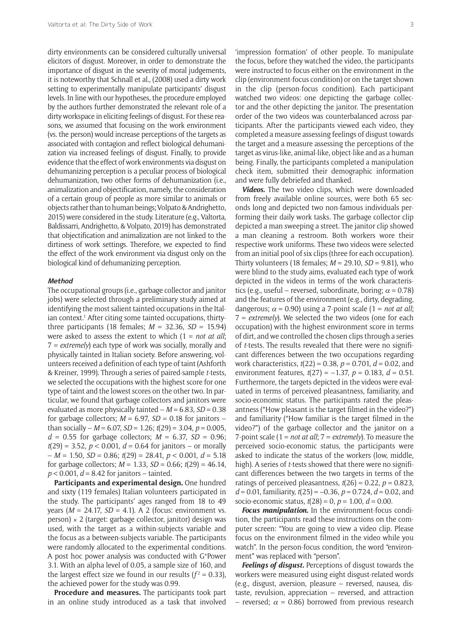dirty environments can be considered culturally universal elicitors of disgust. Moreover, in order to demonstrate the importance of disgust in the severity of moral judgements, it is noteworthy that Schnall et al., (2008) used a dirty work setting to experimentally manipulate participants' disgust levels. In line with our hypotheses, the procedure employed by the authors further demonstrated the relevant role of a dirty workspace in eliciting feelings of disgust. For these reasons, we assumed that focusing on the work environment (vs. the person) would increase perceptions of the targets as associated with contagion and reflect biological dehumanization via increased feelings of disgust. Finally, to provide evidence that the effect of work environments via disgust on dehumanizing perception is a peculiar process of biological dehumanization, two other forms of dehumanization (i.e., animalization and objectification, namely, the consideration of a certain group of people as more similar to animals or objects rather than to human beings; Volpato & Andrighetto, 2015) were considered in the study. Literature (e.g., Valtorta, Baldissarri, Andrighetto, & Volpato, 2019) has demonstrated that objectification and animalization are not linked to the dirtiness of work settings. Therefore, we expected to find the effect of the work environment via disgust only on the biological kind of dehumanizing perception.

#### **Method**

The occupational groups (i.e., garbage collector and janitor jobs) were selected through a preliminary study aimed at identifying the most salient tainted occupations in the Italian context.<sup>1</sup> After citing some tainted occupations, thirtythree participants (18 females; *M* = 32.36, *SD* = 15.94) were asked to assess the extent to which (1 = *not at all*; 7 = *extremely*) each type of work was socially, morally and physically tainted in Italian society. Before answering, volunteers received a definition of each type of taint (Ashforth & Kreiner, 1999). Through a series of paired-sample *t*-tests, we selected the occupations with the highest score for one type of taint and the lowest scores on the other two. In particular, we found that garbage collectors and janitors were evaluated as more physically tainted – *M* = 6.83, *SD* = 0.38 for garbage collectors;  $M = 6.97$ ,  $SD = 0.18$  for janitors – than socially – *M* = 6.07, *SD* = 1.26; *t*(29) = 3.04, *p* = 0.005,  $d = 0.55$  for garbage collectors;  $M = 6.37$ ,  $SD = 0.96$ ; *t*(29) = 3.52, *p* < 0.001, *d* = 0.64 for janitors – or morally – *M* = 1.50, *SD* = 0.86; *t*(29) = 28.41, *p* < 0.001, *d* = 5.18 for garbage collectors;  $M = 1.33$ ,  $SD = 0.66$ ;  $t(29) = 46.14$ , *p* < 0.001, *d* = 8.42 for janitors – tainted.

**Participants and experimental design.** One hundred and sixty (119 females) Italian volunteers participated in the study. The participants' ages ranged from 18 to 49 years (*M* = 24.17, *SD* = 4.1). A 2 (focus: environment vs.  $person) \times 2$  (target: garbage collector, janitor) design was used, with the target as a within-subjects variable and the focus as a between-subjects variable. The participants were randomly allocated to the experimental conditions. A post hoc power analysis was conducted with G\*Power 3.1. With an alpha level of 0.05, a sample size of 160, and the largest effect size we found in our results  $(f^2 = 0.33)$ , the achieved power for the study was 0.99.

**Procedure and measures.** The participants took part in an online study introduced as a task that involved

'impression formation' of other people. To manipulate the focus, before they watched the video, the participants were instructed to focus either on the environment in the clip (environment-focus condition) or on the target shown in the clip (person-focus condition). Each participant watched two videos: one depicting the garbage collector and the other depicting the janitor. The presentation order of the two videos was counterbalanced across participants. After the participants viewed each video, they completed a measure assessing feelings of disgust towards the target and a measure assessing the perceptions of the target as virus-like, animal-like, object-like and as a human being. Finally, the participants completed a manipulation check item, submitted their demographic information and were fully debriefed and thanked.

*Videos.* The two video clips, which were downloaded from freely available online sources, were both 65 seconds long and depicted two non-famous individuals performing their daily work tasks. The garbage collector clip depicted a man sweeping a street. The janitor clip showed a man cleaning a restroom. Both workers wore their respective work uniforms. These two videos were selected from an initial pool of six clips (three for each occupation). Thirty volunteers (18 females; *M* = 29.10, *SD* = 9.81), who were blind to the study aims, evaluated each type of work depicted in the videos in terms of the work characteristics (e.g., useful – reversed, subordinate, boring;  $\alpha$  = 0.78) and the features of the environment (e.g., dirty, degrading, dangerous;  $\alpha$  = 0.90) using a 7-point scale (1 = *not at all*; 7 = *extremely*). We selected the two videos (one for each occupation) with the highest environment score in terms of dirt, and we controlled the chosen clips through a series of *t*-tests. The results revealed that there were no significant differences between the two occupations regarding work characteristics, *t*(22) = 0.38, *p* = 0.701, *d* = 0.02, and environment features, *t*(27) = –1.37, *p* = 0.183, *d* = 0.51. Furthermore, the targets depicted in the videos were evaluated in terms of perceived pleasantness, familiarity, and socio-economic status. The participants rated the pleasantness ("How pleasant is the target filmed in the video?") and familiarity ("How familiar is the target filmed in the video?") of the garbage collector and the janitor on a 7-point scale (1 = *not at all*; 7 = *extremely*). To measure the perceived socio-economic status, the participants were asked to indicate the status of the workers (low, middle, high). A series of *t*-tests showed that there were no significant differences between the two targets in terms of the ratings of perceived pleasantness,  $t(26) = 0.22$ ,  $p = 0.823$ , *d* = 0.01, familiarity, *t*(25) = –0.36, *p* = 0.724, *d* = 0.02, and socio-economic status, *t*(28) = 0, *p* = 1.00, *d* = 0.00.

*Focus manipulation.* In the environment-focus condition, the participants read these instructions on the computer screen: "You are going to view a video clip. Please focus on the environment filmed in the video while you watch". In the person-focus condition, the word "environment" was replaced with "person".

*Feelings of disgust.* Perceptions of disgust towards the workers were measured using eight disgust-related words (e.g., disgust, aversion, pleasure – reversed, nausea, distaste, revulsion, appreciation – reversed, and attraction – reversed;  $\alpha$  = 0.86) borrowed from previous research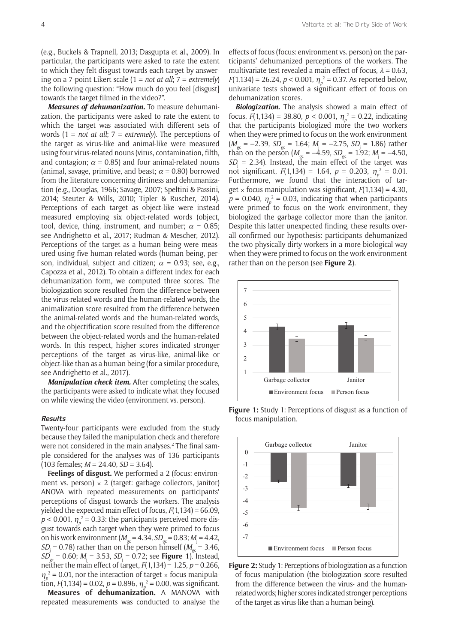(e.g., Buckels & Trapnell, 2013; Dasgupta et al., 2009). In particular, the participants were asked to rate the extent to which they felt disgust towards each target by answering on a 7-point Likert scale (1 = *not at all*; 7 = *extremely*) the following question: "How much do you feel [disgust] towards the target filmed in the video?".

*Measures of dehumanization.* To measure dehumanization, the participants were asked to rate the extent to which the target was associated with different sets of words (1 = *not at all*; 7 = *extremely*). The perceptions of the target as virus-like and animal-like were measured using four virus-related nouns (virus, contamination, filth, and contagion;  $\alpha$  = 0.85) and four animal-related nouns (animal, savage, primitive, and beast;  $\alpha$  = 0.80) borrowed from the literature concerning dirtiness and dehumanization (e.g., Douglas, 1966; Savage, 2007; Speltini & Passini, 2014; Steuter & Wills, 2010; Tipler & Ruscher, 2014). Perceptions of each target as object-like were instead measured employing six object-related words (object, tool, device, thing, instrument, and number;  $\alpha = 0.85$ ; see Andrighetto et al., 2017; Rudman & Mescher, 2012). Perceptions of the target as a human being were measured using five human-related words (human being, person, individual, subject and citizen;  $\alpha$  = 0.93; see, e.g., Capozza et al., 2012). To obtain a different index for each dehumanization form, we computed three scores. The biologization score resulted from the difference between the virus-related words and the human-related words, the animalization score resulted from the difference between the animal-related words and the human-related words, and the objectification score resulted from the difference between the object-related words and the human-related words. In this respect, higher scores indicated stronger perceptions of the target as virus-like, animal-like or object-like than as a human being (for a similar procedure, see Andrighetto et al., 2017).

*Manipulation check item.* After completing the scales, the participants were asked to indicate what they focused on while viewing the video (environment vs. person).

#### **Results**

Twenty-four participants were excluded from the study because they failed the manipulation check and therefore were not considered in the main analyses.<sup>2</sup> The final sample considered for the analyses was of 136 participants (103 females; *M* = 24.40, *SD* = 3.64).

Feelings of disgust. We performed a 2 (focus: environment vs. person)  $\times$  2 (target: garbage collectors, janitor) ANOVA with repeated measurements on participants' perceptions of disgust towards the workers. The analysis yielded the expected main effect of focus, *F*(1,134) = 66.09,  $p$  < 0.001,  $\eta_p^2$  = 0.33: the participants perceived more disgust towards each target when they were primed to focus on his work environment ( $M_{gc} = 4.34$ ,  $SD_{gc} = 0.83$ ;  $M_{j} = 4.42$ ,  $SD_i = 0.78$ ) rather than on the person himself ( $M_{gc} = 3.46$ ,  $SD_{\infty}^{'} = 0.60$ ;  $M_i = 3.53$ ,  $SD_i = 0.72$ ; see **Figure 1**). Instead, neither the main effect of target,  $F(1,134) = 1.25$ ,  $p = 0.266$ ,  $\eta_p^2$  = 0.01, nor the interaction of target  $\times$  focus manipulation,  $F(1,134) = 0.02$ ,  $p = 0.896$ ,  $\eta_p^2 = 0.00$ , was significant.

**Measures of dehumanization.** A MANOVA with repeated measurements was conducted to analyse the effects of focus (focus: environment vs. person) on the participants' dehumanized perceptions of the workers. The multivariate test revealed a main effect of focus,  $\lambda = 0.63$ , *F*(1,134) = 26.24, *p* < 0.001,  $\eta_p^2$  = 0.37. As reported below, univariate tests showed a significant effect of focus on dehumanization scores.

*Biologization.* The analysis showed a main effect of focus,  $F(1,134) = 38.80$ ,  $p < 0.001$ ,  $\eta_p^2 = 0.22$ , indicating that the participants biologized more the two workers when they were primed to focus on the work environment  $(M_{gc} = -2.39, SD_{gc} = 1.64; M_{i} = -2.75, SD_{i} = 1.86)$  rather than on the person ( $M_{gc} = -4.59$ ,  $SD_{gc} = 1.92$ ;  $M_{\text{I}} = -4.50$ ,  $SD<sub>i</sub> = 2.34$ ). Instead, the main effect of the target was not significant,  $F(1,134) = 1.64$ ,  $p = 0.203$ ,  $\eta_p^2 = 0.01$ . Furthermore, we found that the interaction of target  $\times$  focus manipulation was significant,  $F(1,134) = 4.30$ ,  $p = 0.040$ ,  $\eta_p^2 = 0.03$ , indicating that when participants were primed to focus on the work environment, they biologized the garbage collector more than the janitor. Despite this latter unexpected finding, these results overall confirmed our hypothesis: participants dehumanized the two physically dirty workers in a more biological way when they were primed to focus on the work environment rather than on the person (see **Figure 2**).



**Figure 1:** Study 1: Perceptions of disgust as a function of focus manipulation.



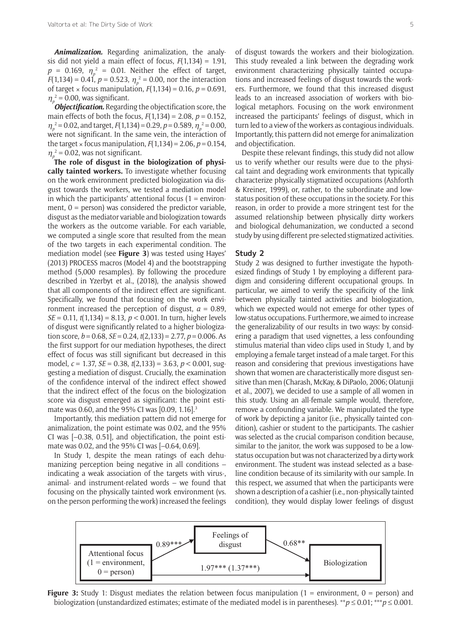*Animalization.* Regarding animalization, the analysis did not yield a main effect of focus, *F*(1,134) = 1.91,  $p = 0.169$ ,  $\eta_p^2 = 0.01$ . Neither the effect of target, *F*(1,134) = 0.41, *p* = 0.523,  $\eta_p^2$  = 0.00, nor the interaction of target  $\times$  focus manipulation,  $F(1,134) = 0.16$ ,  $p = 0.691$ ,  $\eta_p^2$  = 0.00, was significant.

*Objectification.* Regarding the objectification score, the main effects of both the focus, *F*(1,134) = 2.08, *p* = 0.152,  $\eta_p^2$  = 0.02, and target, *F*(1,134) = 0.29, *p* = 0.589,  $\eta_p^2$  = 0.00, were not significant. In the same vein, the interaction of the target  $\times$  focus manipulation,  $F(1,134) = 2.06$ ,  $p = 0.154$ ,  $\eta_p^2$  = 0.02, was not significant.

**The role of disgust in the biologization of physically tainted workers.** To investigate whether focusing on the work environment predicted biologization via disgust towards the workers, we tested a mediation model in which the participants' attentional focus ( $1 =$  environment,  $0 =$  person) was considered the predictor variable, disgust as the mediator variable and biologization towards the workers as the outcome variable. For each variable, we computed a single score that resulted from the mean of the two targets in each experimental condition. The mediation model (see **Figure 3**) was tested using Hayes' (2013) PROCESS macros (Model 4) and the bootstrapping method (5,000 resamples). By following the procedure described in Yzerbyt et al., (2018), the analysis showed that all components of the indirect effect are significant. Specifically, we found that focusing on the work environment increased the perception of disgust,  $a = 0.89$ , *SE* = 0.11, *t*(1,134) = 8.13, *p* < 0.001. In turn, higher levels of disgust were significantly related to a higher biologization score,  $b = 0.68$ ,  $SE = 0.24$ ,  $t(2,133) = 2.77$ ,  $p = 0.006$ . As the first support for our mediation hypotheses, the direct effect of focus was still significant but decreased in this model, *c* = 1.37, *SE* = 0.38, *t*(2,133) = 3.63, *p* < 0.001, suggesting a mediation of disgust. Crucially, the examination of the confidence interval of the indirect effect showed that the indirect effect of the focus on the biologization score via disgust emerged as significant: the point estimate was 0.60, and the 95% CI was [0.09, 1.16].<sup>3</sup>

Importantly, this mediation pattern did not emerge for animalization, the point estimate was 0.02, and the 95% CI was [–0.38, 0.51], and objectification, the point estimate was 0.02, and the 95% CI was [–0.64, 0.69].

In Study 1, despite the mean ratings of each dehumanizing perception being negative in all conditions – indicating a weak association of the targets with virus-, animal- and instrument-related words – we found that focusing on the physically tainted work environment (vs. on the person performing the work) increased the feelings

of disgust towards the workers and their biologization. This study revealed a link between the degrading work environment characterizing physically tainted occupations and increased feelings of disgust towards the workers. Furthermore, we found that this increased disgust leads to an increased association of workers with biological metaphors. Focusing on the work environment increased the participants' feelings of disgust, which in turn led to a view of the workers as contagious individuals. Importantly, this pattern did not emerge for animalization and objectification.

Despite these relevant findings, this study did not allow us to verify whether our results were due to the physical taint and degrading work environments that typically characterize physically stigmatized occupations (Ashforth & Kreiner, 1999), or, rather, to the subordinate and lowstatus position of these occupations in the society. For this reason, in order to provide a more stringent test for the assumed relationship between physically dirty workers and biological dehumanization, we conducted a second study by using different pre-selected stigmatized activities.

#### **Study 2**

Study 2 was designed to further investigate the hypothesized findings of Study 1 by employing a different paradigm and considering different occupational groups. In particular, we aimed to verify the specificity of the link between physically tainted activities and biologization, which we expected would not emerge for other types of low-status occupations. Furthermore, we aimed to increase the generalizability of our results in two ways: by considering a paradigm that used vignettes, a less confounding stimulus material than video clips used in Study 1, and by employing a female target instead of a male target. For this reason and considering that previous investigations have shown that women are characteristically more disgust sensitive than men (Charash, McKay, & DiPaolo, 2006; Olatunji et al., 2007), we decided to use a sample of all women in this study. Using an all-female sample would, therefore, remove a confounding variable. We manipulated the type of work by depicting a janitor (i.e., physically tainted condition), cashier or student to the participants. The cashier was selected as the crucial comparison condition because, similar to the janitor, the work was supposed to be a lowstatus occupation but was not characterized by a dirty work environment. The student was instead selected as a baseline condition because of its similarity with our sample. In this respect, we assumed that when the participants were shown a description of a cashier (i.e., non-physically tainted condition), they would display lower feelings of disgust



**Figure 3:** Study 1: Disgust mediates the relation between focus manipulation (1 = environment, 0 = person) and biologization (unstandardized estimates; estimate of the mediated model is in parentheses). \*\**p* ≤ 0.01; \*\*\**p* ≤ 0.001.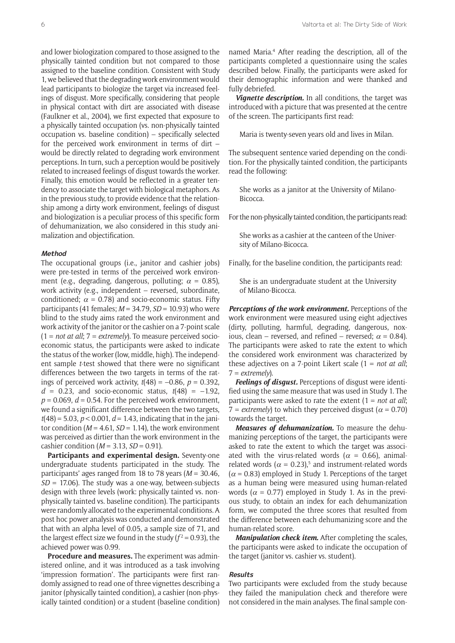and lower biologization compared to those assigned to the physically tainted condition but not compared to those assigned to the baseline condition. Consistent with Study 1, we believed that the degrading work environment would lead participants to biologize the target via increased feelings of disgust. More specifically, considering that people in physical contact with dirt are associated with disease (Faulkner et al., 2004), we first expected that exposure to a physically tainted occupation (vs. non-physically tainted occupation vs. baseline condition) – specifically selected for the perceived work environment in terms of dirt – would be directly related to degrading work environment perceptions. In turn, such a perception would be positively related to increased feelings of disgust towards the worker. Finally, this emotion would be reflected in a greater tendency to associate the target with biological metaphors. As in the previous study, to provide evidence that the relationship among a dirty work environment, feelings of disgust and biologization is a peculiar process of this specific form of dehumanization, we also considered in this study animalization and objectification.

#### **Method**

The occupational groups (i.e., janitor and cashier jobs) were pre-tested in terms of the perceived work environment (e.g., degrading, dangerous, polluting;  $\alpha = 0.85$ ), work activity (e.g., independent – reversed, subordinate, conditioned;  $\alpha = 0.78$ ) and socio-economic status. Fifty participants (41 females; *M* = 34.79, *SD* = 10.93) who were blind to the study aims rated the work environment and work activity of the janitor or the cashier on a 7-point scale (1 = *not at all*; 7 = *extremely*). To measure perceived socioeconomic status, the participants were asked to indicate the status of the worker (low, middle, high). The independent sample *t*-test showed that there were no significant differences between the two targets in terms of the ratings of perceived work activity,  $t(48) = -0.86$ ,  $p = 0.392$ ,  $d = 0.23$ , and socio-economic status,  $t(48) = -1.92$ ,  $p = 0.069$ ,  $d = 0.54$ . For the perceived work environment, we found a significant difference between the two targets, *t*(48) = 5.03, *p* < 0.001, *d* = 1.43, indicating that in the janitor condition ( $M = 4.61$ ,  $SD = 1.14$ ), the work environment was perceived as dirtier than the work environment in the cashier condition (*M* = 3.13, *SD* = 0.91).

**Participants and experimental design.** Seventy-one undergraduate students participated in the study. The participants' ages ranged from 18 to 78 years (*M* = 30.46, *SD* = 17.06). The study was a one-way, between-subjects design with three levels (work: physically tainted vs. nonphysically tainted vs. baseline condition). The participants were randomly allocated to the experimental conditions. A post hoc power analysis was conducted and demonstrated that with an alpha level of 0.05, a sample size of 71, and the largest effect size we found in the study  $(f^2 = 0.93)$ , the achieved power was 0.99.

**Procedure and measures.** The experiment was administered online, and it was introduced as a task involving 'impression formation'. The participants were first randomly assigned to read one of three vignettes describing a janitor (physically tainted condition), a cashier (non-physically tainted condition) or a student (baseline condition)

named Maria.4 After reading the description, all of the participants completed a questionnaire using the scales described below. Finally, the participants were asked for their demographic information and were thanked and fully debriefed.

*Vignette description.* In all conditions, the target was introduced with a picture that was presented at the centre of the screen. The participants first read:

Maria is twenty-seven years old and lives in Milan.

The subsequent sentence varied depending on the condition. For the physically tainted condition, the participants read the following:

She works as a janitor at the University of Milano-Bicocca.

For the non-physically tainted condition, the participants read:

She works as a cashier at the canteen of the University of Milano-Bicocca.

Finally, for the baseline condition, the participants read:

She is an undergraduate student at the University of Milano-Bicocca.

*Perceptions of the work environment.* Perceptions of the work environment were measured using eight adjectives (dirty, polluting, harmful, degrading, dangerous, noxious, clean – reversed, and refined – reversed;  $\alpha$  = 0.84). The participants were asked to rate the extent to which the considered work environment was characterized by these adjectives on a 7-point Likert scale (1 = *not at all*; 7 = *extremely*).

*Feelings of disgust.* Perceptions of disgust were identified using the same measure that was used in Study 1. The participants were asked to rate the extent (1 = *not at all*;  $7 =$  *extremely*) to which they perceived disgust ( $\alpha$  = 0.70) towards the target.

*Measures of dehumanization.* To measure the dehumanizing perceptions of the target, the participants were asked to rate the extent to which the target was associated with the virus-related words ( $\alpha$  = 0.66), animalrelated words ( $\alpha$  = 0.23),<sup>5</sup> and instrument-related words  $(\alpha = 0.83)$  employed in Study 1. Perceptions of the target as a human being were measured using human-related words ( $\alpha$  = 0.77) employed in Study 1. As in the previous study, to obtain an index for each dehumanization form, we computed the three scores that resulted from the difference between each dehumanizing score and the human-related score.

*Manipulation check item.* After completing the scales, the participants were asked to indicate the occupation of the target (janitor vs. cashier vs. student).

#### **Results**

Two participants were excluded from the study because they failed the manipulation check and therefore were not considered in the main analyses. The final sample con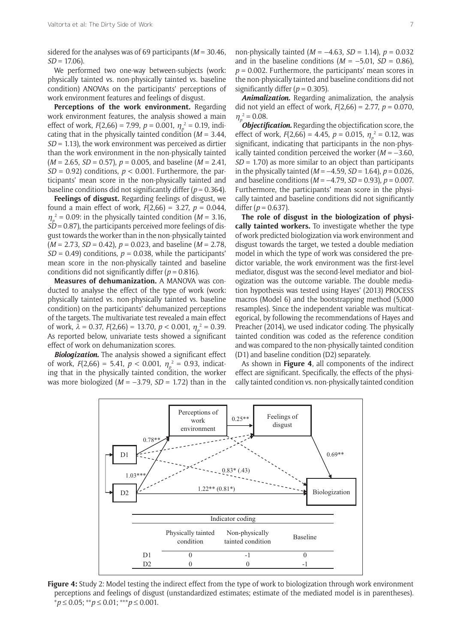sidered for the analyses was of 69 participants (*M* = 30.46,  $SD = 17.06$ .

We performed two one-way between-subjects (work: physically tainted vs. non-physically tainted vs. baseline condition) ANOVAs on the participants' perceptions of work environment features and feelings of disgust.

**Perceptions of the work environment.** Regarding work environment features, the analysis showed a main effect of work, *F*(2,66) = 7.99, *p* = 0.001, <sup>η</sup>*<sup>p</sup>* <sup>2</sup> = 0.19, indicating that in the physically tainted condition (*M* = 3.44, *SD* = 1.13), the work environment was perceived as dirtier than the work environment in the non-physically tainted (*M* = 2.65, *SD* = 0.57), *p* = 0.005, and baseline (*M* = 2.41,  $SD = 0.92$ ) conditions,  $p < 0.001$ . Furthermore, the participants' mean score in the non-physically tainted and baseline conditions did not significantly differ  $(p = 0.364)$ .

**Feelings of disgust.** Regarding feelings of disgust, we found a main effect of work, *F*(2,66) = 3.27, *p* = 0.044,  $\eta_p^2$  = 0.09: in the physically tainted condition (*M* = 3.16, *SD* = 0.87), the participants perceived more feelings of disgust towards the worker than in the non-physically tainted (*M* = 2.73, *SD* = 0.42), *p* = 0.023, and baseline (*M* = 2.78,  $SD = 0.49$ ) conditions,  $p = 0.038$ , while the participants' mean score in the non-physically tainted and baseline conditions did not significantly differ ( $p = 0.816$ ).

**Measures of dehumanization.** A MANOVA was conducted to analyse the effect of the type of work (work: physically tainted vs. non-physically tainted vs. baseline condition) on the participants' dehumanized perceptions of the targets. The multivariate test revealed a main effect of work,  $\lambda = 0.37$ ,  $F(2,66) = 13.70$ ,  $p < 0.001$ ,  $\eta_p^2 = 0.39$ . As reported below, univariate tests showed a significant effect of work on dehumanization scores.

*Biologization.* The analysis showed a significant effect of work,  $F(2,66) = 5.41$ ,  $p < 0.001$ ,  $\eta_p^2 = 0.93$ , indicating that in the physically tainted condition, the worker was more biologized ( $M = -3.79$ ,  $SD = 1.72$ ) than in the

non-physically tainted (*M* = –4.63, *SD* = 1.14), *p* = 0.032 and in the baseline conditions  $(M = -5.01, SD = 0.86)$ , *p* = 0.002. Furthermore, the participants' mean scores in the non-physically tainted and baseline conditions did not significantly differ  $(p = 0.305)$ .

*Animalization.* Regarding animalization, the analysis did not yield an effect of work, *F*(2,66) = 2.77, *p* = 0.070,  $\eta_p^2 = 0.08$ .

*Objectification.* Regarding the objectification score, the effect of work,  $F(2,66) = 4.45$ ,  $p = 0.015$ ,  $\eta_p^2 = 0.12$ , was significant, indicating that participants in the non-physically tainted condition perceived the worker (*M* = –3.60, *SD* = 1.70) as more similar to an object than participants in the physically tainted (*M* = –4.59, *SD* = 1.64), *p* = 0.026, and baseline conditions (*M* = –4.79, *SD* = 0.93), *p* = 0.007. Furthermore, the participants' mean score in the physically tainted and baseline conditions did not significantly differ  $(p = 0.637)$ .

**The role of disgust in the biologization of physically tainted workers.** To investigate whether the type of work predicted biologization via work environment and disgust towards the target, we tested a double mediation model in which the type of work was considered the predictor variable, the work environment was the first-level mediator, disgust was the second-level mediator and biologization was the outcome variable. The double mediation hypothesis was tested using Hayes' (2013) PROCESS macros (Model 6) and the bootstrapping method (5,000 resamples). Since the independent variable was multicategorical, by following the recommendations of Hayes and Preacher (2014), we used indicator coding. The physically tainted condition was coded as the reference condition and was compared to the non-physically tainted condition (D1) and baseline condition (D2) separately.

As shown in **Figure 4**, all components of the indirect effect are significant. Specifically, the effects of the physically tainted condition vs. non-physically tainted condition



**Figure 4:** Study 2: Model testing the indirect effect from the type of work to biologization through work environment perceptions and feelings of disgust (unstandardized estimates; estimate of the mediated model is in parentheses). \**p* ≤ 0.05; \*\**p* ≤ 0.01; \*\*\**p* ≤ 0.001.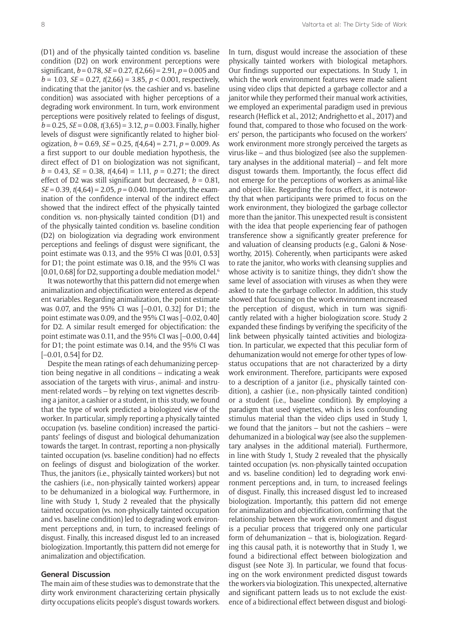(D1) and of the physically tainted condition vs. baseline condition (D2) on work environment perceptions were significant, *b* = 0.78, *SE* = 0.27, *t*(2,66) = 2.91, *p* = 0.005 and  $b = 1.03$ ,  $SE = 0.27$ ,  $t(2,66) = 3.85$ ,  $p < 0.001$ , respectively, indicating that the janitor (vs. the cashier and vs. baseline condition) was associated with higher perceptions of a degrading work environment. In turn, work environment perceptions were positively related to feelings of disgust, *b* = 0.25, *SE* = 0.08, *t*(3,65) = 3.12, *p* = 0.003. Finally, higher levels of disgust were significantly related to higher biologization, *b* = 0.69, *SE* = 0.25, *t*(4,64) = 2.71, *p* = 0.009. As a first support to our double mediation hypothesis, the direct effect of D1 on biologization was not significant,  $b = 0.43$ , *SE* = 0.38,  $t(4.64) = 1.11$ ,  $p = 0.271$ ; the direct effect of D2 was still significant but decreased,  $b = 0.81$ , *SE* = 0.39,  $t(4,64)$  = 2.05,  $p = 0.040$ . Importantly, the examination of the confidence interval of the indirect effect showed that the indirect effect of the physically tainted condition vs. non-physically tainted condition (D1) and of the physically tainted condition vs. baseline condition (D2) on biologization via degrading work environment perceptions and feelings of disgust were significant, the point estimate was 0.13, and the 95% CI was [0.01, 0.53] for D1; the point estimate was 0.18, and the 95% CI was  $[0.01, 0.68]$  for D2, supporting a double mediation model.<sup>6</sup>

It was noteworthy that this pattern did not emerge when animalization and objectification were entered as dependent variables. Regarding animalization, the point estimate was 0.07, and the 95% CI was [–0.01, 0.32] for D1; the point estimate was 0.09, and the 95% CI was [–0.02, 0.40] for D2. A similar result emerged for objectification: the point estimate was 0.11, and the 95% CI was [–0.00, 0.44] for D1; the point estimate was 0.14, and the 95% CI was [–0.01, 0.54] for D2.

Despite the mean ratings of each dehumanizing perception being negative in all conditions – indicating a weak association of the targets with virus-, animal- and instrument-related words – by relying on text vignettes describing a janitor, a cashier or a student, in this study, we found that the type of work predicted a biologized view of the worker. In particular, simply reporting a physically tainted occupation (vs. baseline condition) increased the participants' feelings of disgust and biological dehumanization towards the target. In contrast, reporting a non-physically tainted occupation (vs. baseline condition) had no effects on feelings of disgust and biologization of the worker. Thus, the janitors (i.e., physically tainted workers) but not the cashiers (i.e., non-physically tainted workers) appear to be dehumanized in a biological way. Furthermore, in line with Study 1, Study 2 revealed that the physically tainted occupation (vs. non-physically tainted occupation and vs. baseline condition) led to degrading work environment perceptions and, in turn, to increased feelings of disgust. Finally, this increased disgust led to an increased biologization. Importantly, this pattern did not emerge for animalization and objectification.

#### **General Discussion**

The main aim of these studies was to demonstrate that the dirty work environment characterizing certain physically dirty occupations elicits people's disgust towards workers.

In turn, disgust would increase the association of these physically tainted workers with biological metaphors. Our findings supported our expectations. In Study 1, in which the work environment features were made salient using video clips that depicted a garbage collector and a janitor while they performed their manual work activities, we employed an experimental paradigm used in previous research (Heflick et al., 2012; Andrighetto et al., 2017) and found that, compared to those who focused on the workers' person, the participants who focused on the workers' work environment more strongly perceived the targets as virus-like – and thus biologized (see also the supplementary analyses in the additional material) – and felt more disgust towards them. Importantly, the focus effect did not emerge for the perceptions of workers as animal-like and object-like. Regarding the focus effect, it is noteworthy that when participants were primed to focus on the work environment, they biologized the garbage collector more than the janitor. This unexpected result is consistent with the idea that people experiencing fear of pathogen transference show a significantly greater preference for and valuation of cleansing products (e.g., Galoni & Noseworthy, 2015). Coherently, when participants were asked to rate the janitor, who works with cleansing supplies and whose activity is to sanitize things, they didn't show the same level of association with viruses as when they were asked to rate the garbage collector. In addition, this study showed that focusing on the work environment increased the perception of disgust, which in turn was significantly related with a higher biologization score. Study 2 expanded these findings by verifying the specificity of the link between physically tainted activities and biologization. In particular, we expected that this peculiar form of dehumanization would not emerge for other types of lowstatus occupations that are not characterized by a dirty work environment. Therefore, participants were exposed to a description of a janitor (i.e., physically tainted condition), a cashier (i.e., non-physically tainted condition) or a student (i.e., baseline condition). By employing a paradigm that used vignettes, which is less confounding stimulus material than the video clips used in Study 1, we found that the janitors – but not the cashiers – were dehumanized in a biological way (see also the supplementary analyses in the additional material). Furthermore, in line with Study 1, Study 2 revealed that the physically tainted occupation (vs. non-physically tainted occupation and vs. baseline condition) led to degrading work environment perceptions and, in turn, to increased feelings of disgust. Finally, this increased disgust led to increased biologization. Importantly, this pattern did not emerge for animalization and objectification, confirming that the relationship between the work environment and disgust is a peculiar process that triggered only one particular form of dehumanization – that is, biologization. Regarding this causal path, it is noteworthy that in Study 1, we found a bidirectional effect between biologization and disgust (see Note 3). In particular, we found that focusing on the work environment predicted disgust towards the workers via biologization. This unexpected, alternative and significant pattern leads us to not exclude the existence of a bidirectional effect between disgust and biologi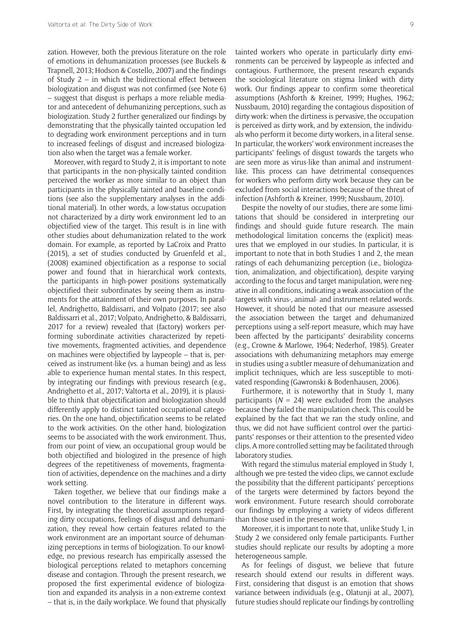zation. However, both the previous literature on the role of emotions in dehumanization processes (see Buckels & Trapnell, 2013; Hodson & Costello, 2007) and the findings of Study 2 – in which the bidirectional effect between biologization and disgust was not confirmed (see Note 6) – suggest that disgust is perhaps a more reliable mediator and antecedent of dehumanizing perceptions, such as biologization. Study 2 further generalized our findings by demonstrating that the physically tainted occupation led to degrading work environment perceptions and in turn to increased feelings of disgust and increased biologization also when the target was a female worker.

Moreover, with regard to Study 2, it is important to note that participants in the non-physically tainted condition perceived the worker as more similar to an object than participants in the physically tainted and baseline conditions (see also the supplementary analyses in the additional material). In other words, a low-status occupation not characterized by a dirty work environment led to an objectified view of the target. This result is in line with other studies about dehumanization related to the work domain. For example, as reported by LaCroix and Pratto (2015), a set of studies conducted by Gruenfeld et al., (2008) examined objectification as a response to social power and found that in hierarchical work contexts, the participants in high-power positions systematically objectified their subordinates by seeing them as instruments for the attainment of their own purposes. In parallel, Andrighetto, Baldissarri, and Volpato (2017; see also Baldissarri et al., 2017; Volpato, Andrighetto, & Baldissarri, 2017 for a review) revealed that (factory) workers performing subordinate activities characterized by repetitive movements, fragmented activities, and dependence on machines were objectified by laypeople – that is, perceived as instrument-like (vs. a human being) and as less able to experience human mental states. In this respect, by integrating our findings with previous research (e.g., Andrighetto et al., 2017; Valtorta et al., 2019), it is plausible to think that objectification and biologization should differently apply to distinct tainted occupational categories. On the one hand, objectification seems to be related to the work activities. On the other hand, biologization seems to be associated with the work environment. Thus, from our point of view, an occupational group would be both objectified and biologized in the presence of high degrees of the repetitiveness of movements, fragmentation of activities, dependence on the machines and a dirty work setting.

Taken together, we believe that our findings make a novel contribution to the literature in different ways. First, by integrating the theoretical assumptions regarding dirty occupations, feelings of disgust and dehumanization, they reveal how certain features related to the work environment are an important source of dehumanizing perceptions in terms of biologization. To our knowledge, no previous research has empirically assessed the biological perceptions related to metaphors concerning disease and contagion. Through the present research, we proposed the first experimental evidence of biologization and expanded its analysis in a non-extreme context – that is, in the daily workplace. We found that physically tainted workers who operate in particularly dirty environments can be perceived by laypeople as infected and contagious. Furthermore, the present research expands the sociological literature on stigma linked with dirty work. Our findings appear to confirm some theoretical assumptions (Ashforth & Kreiner, 1999; Hughes, 1962; Nussbaum, 2010) regarding the contagious disposition of dirty work: when the dirtiness is pervasive, the occupation is perceived as dirty work, and by extension, the individuals who perform it become dirty workers, in a literal sense. In particular, the workers' work environment increases the participants' feelings of disgust towards the targets who are seen more as virus-like than animal and instrumentlike. This process can have detrimental consequences for workers who perform dirty work because they can be excluded from social interactions because of the threat of infection (Ashforth & Kreiner, 1999; Nussbaum, 2010).

Despite the novelty of our studies, there are some limitations that should be considered in interpreting our findings and should guide future research. The main methodological limitation concerns the (explicit) measures that we employed in our studies. In particular, it is important to note that in both Studies 1 and 2, the mean ratings of each dehumanizing perception (i.e., biologization, animalization, and objectification), despite varying according to the focus and target manipulation, were negative in all conditions, indicating a weak association of the targets with virus-, animal- and instrument-related words. However, it should be noted that our measure assessed the association between the target and dehumanized perceptions using a self-report measure, which may have been affected by the participants' desirability concerns (e.g., Crowne & Marlowe, 1964; Nederhof, 1985). Greater associations with dehumanizing metaphors may emerge in studies using a subtler measure of dehumanization and implicit techniques, which are less susceptible to motivated responding (Gawronski & Bodenhausen, 2006).

Furthermore, it is noteworthy that in Study 1, many participants ( $N = 24$ ) were excluded from the analyses because they failed the manipulation check. This could be explained by the fact that we ran the study online, and thus, we did not have sufficient control over the participants' responses or their attention to the presented video clips. A more controlled setting may be facilitated through laboratory studies.

With regard the stimulus material employed in Study 1, although we pre-tested the video clips, we cannot exclude the possibility that the different participants' perceptions of the targets were determined by factors beyond the work environment. Future research should corroborate our findings by employing a variety of videos different than those used in the present work.

Moreover, it is important to note that, unlike Study 1, in Study 2 we considered only female participants. Further studies should replicate our results by adopting a more heterogeneous sample.

As for feelings of disgust, we believe that future research should extend our results in different ways. First, considering that disgust is an emotion that shows variance between individuals (e.g., Olatunji at al., 2007), future studies should replicate our findings by controlling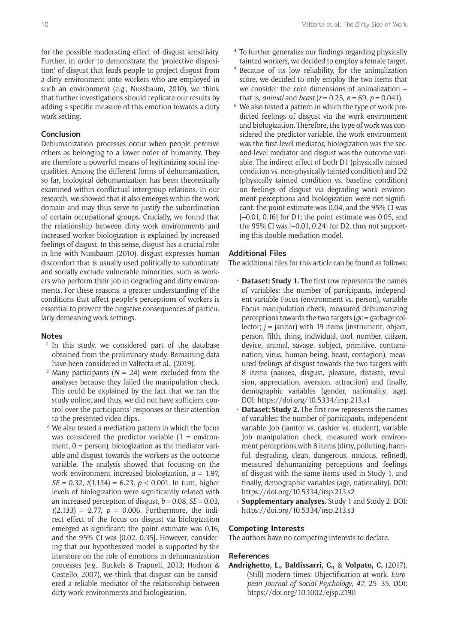# **Conclusion**

Dehumanization processes occur when people perceive others as belonging to a lower order of humanity. They are therefore a powerful means of legitimizing social inequalities. Among the different forms of dehumanization, so far, biological dehumanization has been theoretically examined within conflictual intergroup relations. In our research, we showed that it also emerges within the work domain and may thus serve to justify the subordination of certain occupational groups. Crucially, we found that the relationship between dirty work environments and increased worker biologization is explained by increased feelings of disgust. In this sense, disgust has a crucial role: in line with Nussbaum (2010), disgust expresses human discomfort that is usually used politically to subordinate and socially exclude vulnerable minorities, such as workers who perform their job in degrading and dirty environments. For these reasons, a greater understanding of the conditions that affect people's perceptions of workers is essential to prevent the negative consequences of particularly demeaning work settings.

#### **Notes**

- <sup>1</sup> In this study, we considered part of the database obtained from the preliminary study. Remaining data have been considered in Valtorta et al., (2019).
- <sup>2</sup> Many participants ( $N = 24$ ) were excluded from the analyses because they failed the manipulation check. This could be explained by the fact that we ran the study online, and thus, we did not have sufficient control over the participants' responses or their attention to the presented video clips.
- <sup>3</sup> We also tested a mediation pattern in which the focus was considered the predictor variable  $(1 =$  environment,  $0 =$  person), biologization as the mediator variable and disgust towards the workers as the outcome variable. The analysis showed that focusing on the work environment increased biologization, *a* = 1.97, *SE* = 0.32, *t*(1,134) = 6.23, *p* < 0.001. In turn, higher levels of biologization were significantly related with an increased perception of disgust,  $b = 0.08$ ,  $SE = 0.03$ ,  $t(2,133) = 2.77$ ,  $p = 0.006$ . Furthermore, the indirect effect of the focus on disgust via biologization emerged as significant: the point estimate was 0.16, and the 95% CI was [0.02, 0.35]. However, considering that our hypothesized model is supported by the literature on the role of emotions in dehumanization processes (e.g., Buckels & Trapnell, 2013; Hodson & Costello, 2007), we think that disgust can be considered a reliable mediator of the relationship between dirty work environments and biologization.
- <sup>4</sup> To further generalize our findings regarding physically tainted workers, we decided to employ a female target.
- <sup>5</sup> Because of its low reliability, for the animalization score, we decided to only employ the two items that we consider the core dimensions of animalization – that is, *animal* and *beast* ( $r = 0.25$ ,  $n = 69$ ,  $p = 0.041$ ).
- <sup>6</sup> We also tested a pattern in which the type of work predicted feelings of disgust via the work environment and biologization. Therefore, the type of work was considered the predictor variable, the work environment was the first-level mediator, biologization was the second-level mediator and disgust was the outcome variable. The indirect effect of both D1 (physically tainted condition vs. non-physically tainted condition) and D2 (physically tainted condition vs. baseline condition) on feelings of disgust via degrading work environment perceptions and biologization were not significant: the point estimate was 0.04, and the 95% CI was [–0.01, 0.16] for D1; the point estimate was 0.05, and the 95% CI was  $[-0.01, 0.24]$  for D2, thus not supporting this double mediation model.

## **Additional Files**

The additional files for this article can be found as follows:

- **Dataset: Study 1.** The first row represents the names of variables: the number of participants, independent variable Focus (environment vs. person), variable Focus manipulation check, measured dehumanizing perceptions towards the two targets (*gc* = garbage collector; *j* = janitor) with 19 items (instrument, object, person, filth, thing, individual, tool, number, citizen, device, animal, savage, subject, primitive, contamination, virus, human being, beast, contagion), measured feelings of disgust towards the two targets with 8 items (nausea, disgust, pleasure, distaste, revulsion, appreciation, aversion, attraction) and finally, demographic variables (gender, nationality, age). DOI: <https://doi.org/10.5334/irsp.213.s1>
- **Dataset: Study 2.** The first row represents the names of variables: the number of participants, independent variable Job (janitor vs. cashier vs. student), variable Job manipulation check, measured work environment perceptions with 8 items (dirty, polluting, harmful, degrading, clean, dangerous, noxious, refined), measured dehumanizing perceptions and feelings of disgust with the same items used in Study 1, and finally, demographic variables (age, nationality). DOI: <https://doi.org/10.5334/irsp.213.s2>
- • **Supplementary analyses.** Study 1 and Study 2. DOI: <https://doi.org/10.5334/irsp.213.s3>

#### **Competing Interests**

The authors have no competing interests to declare.

#### **References**

**Andrighetto, L., Baldissarri, C.,** & **Volpato, C.** (2017). (Still) modern times: Objectification at work. *European Journal of Social Psychology*, *47*, 25–35. DOI: <https://doi.org/10.1002/ejsp.2190>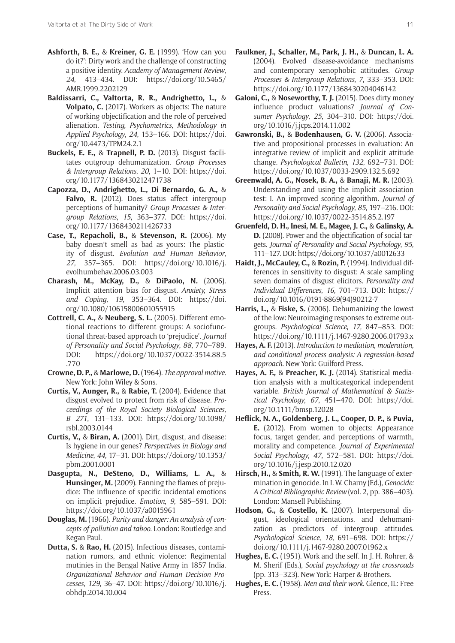- **Ashforth, B. E.,** & **Kreiner, G. E.** (1999). 'How can you do it?': Dirty work and the challenge of constructing a positive identity. *Academy of Management Review*, *24*, 413–434. DOI: [https://doi.org/10.5465/](https://doi.org/10.5465/AMR.1999.2202129) [AMR.1999.2202129](https://doi.org/10.5465/AMR.1999.2202129)
- **Baldissarri, C., Valtorta, R. R., Andrighetto, L.,** & **Volpato, C.** (2017). Workers as objects: The nature of working objectification and the role of perceived alienation. *Testing, Psychometrics, Methodology in Applied Psychology*, *24*, 153–166. DOI: [https://doi.](https://doi.org/10.4473/TPM24.2.1) [org/10.4473/TPM24.2.1](https://doi.org/10.4473/TPM24.2.1)
- **Buckels, E. E.,** & **Trapnell, P. D.** (2013). Disgust facilitates outgroup dehumanization. *Group Processes & Intergroup Relations*, *20*, 1–10. DOI: [https://doi.](https://doi.org/10.1177/1368430212471738) [org/10.1177/1368430212471738](https://doi.org/10.1177/1368430212471738)
- **Capozza, D., Andrighetto, L., Di Bernardo, G. A.,** & **Falvo, R.** (2012). Does status affect intergroup perceptions of humanity? *Group Processes & Intergroup Relations*, *15*, 363–377. DOI: [https://doi.](https://doi.org/10.1177/1368430211426733) [org/10.1177/1368430211426733](https://doi.org/10.1177/1368430211426733)
- **Case, T., Repacholi, B.,** & **Stevenson, R.** (2006). My baby doesn't smell as bad as yours: The plasticity of disgust. *Evolution and Human Behavior*, *27*, 357–365. DOI: [https://doi.org/10.1016/j.](https://doi.org/10.1016/j.evolhumbehav.2006.03.003) [evolhumbehav.2006.03.003](https://doi.org/10.1016/j.evolhumbehav.2006.03.003)
- **Charash, M., McKay, D.,** & **DiPaolo, N.** (2006). Implicit attention bias for disgust. *Anxiety, Stress and Coping*, *19*, 353–364. DOI: [https://doi.](https://doi.org/10.1080/10615800601055915) [org/10.1080/10615800601055915](https://doi.org/10.1080/10615800601055915)
- **Cottrell, C. A.,** & **Neuberg, S. L.** (2005). Different emotional reactions to different groups: A sociofunctional threat-based approach to 'prejudice'. *Journal of Personality and Social Psychology*, *88*, 770–789. DOI: [https://doi.org/10.1037/0022-3514.88.5](https://doi.org/10.1037/0022-3514.88.5.770) [.770](https://doi.org/10.1037/0022-3514.88.5.770)
- **Crowne, D. P.,** & **Marlowe, D.** (1964). *The approval motive*. New York: John Wiley & Sons.
- **Curtis, V., Aunger, R.,** & **Rabie, T.** (2004). Evidence that disgust evolved to protect from risk of disease. *Proceedings of the Royal Society Biological Sciences, B 271*, 131–133. DOI: [https://doi.org/10.1098/](https://doi.org/10.1098/rsbl.2003.0144) [rsbl.2003.0144](https://doi.org/10.1098/rsbl.2003.0144)
- **Curtis, V.,** & **Biran, A.** (2001). Dirt, disgust, and disease: Is hygiene in our genes? *Perspectives in Biology and Medicine*, *44*, 17–31. DOI: [https://doi.org/10.1353/](https://doi.org/10.1353/pbm.2001.0001) [pbm.2001.0001](https://doi.org/10.1353/pbm.2001.0001)
- **Dasgupta, N., DeSteno, D., Williams, L. A.,** & **Hunsinger, M.** (2009). Fanning the flames of prejudice: The influence of specific incidental emotions on implicit prejudice. *Emotion*, *9*, 585–591. DOI: <https://doi.org/10.1037/a0015961>
- **Douglas, M.** (1966). *Purity and danger: An analysis of concepts of pollution and taboo*. London: Routledge and Kegan Paul.
- **Dutta, S.** & **Rao, H.** (2015). Infectious diseases, contamination rumors, and ethnic violence: Regimental mutinies in the Bengal Native Army in 1857 India. *Organizational Behavior and Human Decision Processes*, *129*, 36–47. DOI: [https://doi.org/10.1016/j.](https://doi.org/10.1016/j.obhdp.2014.10.004) [obhdp.2014.10.004](https://doi.org/10.1016/j.obhdp.2014.10.004)
- **Faulkner, J., Schaller, M., Park, J. H.,** & **Duncan, L. A.** (2004). Evolved disease-avoidance mechanisms and contemporary xenophobic attitudes. *Group Processes & Intergroup Relations*, *7*, 333–353. DOI: <https://doi.org/10.1177/1368430204046142>
- **Galoni, C.,** & **Noseworthy, T. J.** (2015). Does dirty money influence product valuations? *Journal of Consumer Psychology*, *25*, 304–310. DOI: [https://doi.](https://doi.org/10.1016/j.jcps.2014.11.002) [org/10.1016/j.jcps.2014.11.002](https://doi.org/10.1016/j.jcps.2014.11.002)
- **Gawronski, B.,** & **Bodenhausen, G. V.** (2006). Associative and propositional processes in evaluation: An integrative review of implicit and explicit attitude change. *Psychological Bulletin*, *132*, 692–731. DOI: <https://doi.org/10.1037/0033-2909.132.5.692>
- **Greenwald, A. G., Nosek, B. A.,** & **Banaji, M. R.** (2003). Understanding and using the implicit association test: I. An improved scoring algorithm. *Journal of Personality and Social Psychology*, *85*, 197–216. DOI: <https://doi.org/10.1037/0022-3514.85.2.197>
- **Gruenfeld, D. H., Inesi, M. E., Magee, J. C.,** & **Galinsky, A. D.** (2008). Power and the objectification of social targets. *Journal of Personality and Social Psychology*, *95*, 111–127. DOI:<https://doi.org/10.1037/a0012633>
- **Haidt, J., McCauley, C.,** & **Rozin, P.** (1994). Individual differences in sensitivity to disgust: A scale sampling seven domains of disgust elicitors. *Personality and Individual Differences*, *16*, 701–713. DOI: [https://](https://doi.org/10.1016/0191-8869(94)90212-7) [doi.org/10.1016/0191-8869\(94\)90212-7](https://doi.org/10.1016/0191-8869(94)90212-7)
- **Harris, L.,** & **Fiske, S.** (2006). Dehumanizing the lowest of the low: Neuroimaging responses to extreme outgroups. *Psychological Science*, *17*, 847–853. DOI: <https://doi.org/10.1111/j.1467-9280.2006.01793.x>
- **Hayes, A. F.** (2013). *Introduction to mediation, moderation, and conditional process analysis: A regression-based approach*. New York: Guilford Press.
- **Hayes, A. F.,** & **Preacher, K. J.** (2014). Statistical mediation analysis with a multicategorical independent variable. *British Journal of Mathematical & Statistical Psychology*, *67*, 451–470. DOI: [https://doi.](https://doi.org/10.1111/bmsp.12028) [org/10.1111/bmsp.12028](https://doi.org/10.1111/bmsp.12028)
- **Heflick, N. A., Goldenberg, J. L., Cooper, D. P.,** & **Puvia, E.** (2012). From women to objects: Appearance focus, target gender, and perceptions of warmth, morality and competence. *Journal of Experimental Social Psychology*, *47*, 572–581. DOI: [https://doi.](https://doi.org/10.1016/j.jesp.2010.12.020) [org/10.1016/j.jesp.2010.12.020](https://doi.org/10.1016/j.jesp.2010.12.020)
- **Hirsch, H.,** & **Smith, R. W.** (1991). The language of extermination in genocide. In I. W. Charny (Ed.), *Genocide: A Critical Bibliographic Review* (vol. 2, pp. 386–403). London: Mansell Publishing.
- **Hodson, G.,** & **Costello, K.** (2007). Interpersonal disgust, ideological orientations, and dehumanization as predictors of intergroup attitudes. *Psychological Science*, *18*, 691–698. DOI: [https://](https://doi.org/10.1111/j.1467-9280.2007.01962.x) [doi.org/10.1111/j.1467-9280.2007.01962.x](https://doi.org/10.1111/j.1467-9280.2007.01962.x)
- **Hughes, E. C.** (1951). Work and the self. In J. H. Rohrer, & M. Sherif (Eds.), *Social psychology at the crossroads* (pp. 313–323). New York: Harper & Brothers.
- **Hughes, E. C.** (1958). *Men and their work*. Glence, IL: Free Press.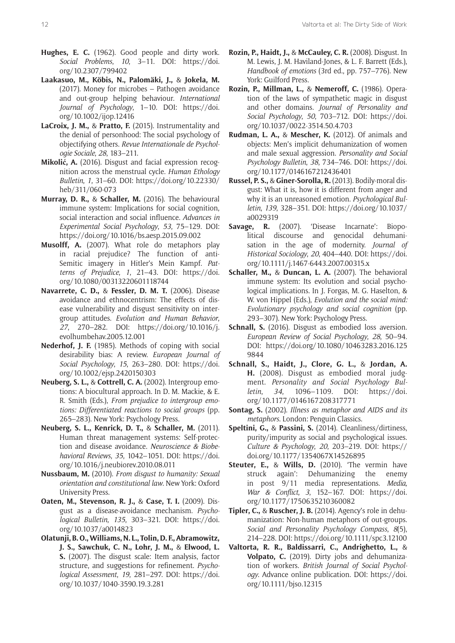- **Hughes, E. C.** (1962). Good people and dirty work. *Social Problems*, *10*, 3–11. DOI: [https://doi.](https://doi.org/10.2307/799402) [org/10.2307/799402](https://doi.org/10.2307/799402)
- **Laakasuo, M., Köbis, N., Palomäki, J.,** & **Jokela, M.** (2017). Money for microbes – Pathogen avoidance and out-group helping behaviour. *International Journal of Psychology*, 1–10. DOI: [https://doi.](https://doi.org/10.1002/ijop.12416) [org/10.1002/ijop.12416](https://doi.org/10.1002/ijop.12416)
- **LaCroix, J. M.,** & **Pratto, F.** (2015). Instrumentality and the denial of personhood: The social psychology of objectifying others. *Revue Internationale de Psychologie Sociale*, *28*, 183–211.
- **Mikolić, A.** (2016). Disgust and facial expression recognition across the menstrual cycle. *Human Ethology Bulletin*, *1*, 31–60. DOI: [https://doi.org/10.22330/](https://doi.org/10.22330/heb/311/060-073) [heb/311/060-073](https://doi.org/10.22330/heb/311/060-073)
- **Murray, D. R.,** & **Schaller, M.** (2016). The behavioural immune system: Implications for social cognition, social interaction and social influence. *Advances in Experimental Social Psychology*, *53*, 75–129. DOI: <https://doi.org/10.1016/bs.aesp.2015.09.002>
- **Musolff, A.** (2007). What role do metaphors play in racial prejudice? The function of anti-Semitic imagery in Hitler's Mein Kampf. *Patterns of Prejudice*, *1*, 21–43. DOI: [https://doi.](https://doi.org/10.1080/00313220601118744) [org/10.1080/00313220601118744](https://doi.org/10.1080/00313220601118744)
- **Navarrete, C. D.,** & **Fessler, D. M. T.** (2006). Disease avoidance and ethnocentrism: The effects of disease vulnerability and disgust sensitivity on intergroup attitudes. *Evolution and Human Behavior*, *27*, 270–282. DOI: [https://doi.org/10.1016/j.](https://doi.org/10.1016/j.evolhumbehav.2005.12.001) [evolhumbehav.2005.12.001](https://doi.org/10.1016/j.evolhumbehav.2005.12.001)
- **Nederhof, J. F.** (1985). Methods of coping with social desirability bias: A review. *European Journal of Social Psychology*, *15*, 263–280. DOI: [https://doi.](https://doi.org/10.1002/ejsp.2420150303) [org/10.1002/ejsp.2420150303](https://doi.org/10.1002/ejsp.2420150303)
- **Neuberg, S. L.,** & **Cottrell, C. A.** (2002). Intergroup emotions: A biocultural approach. In D. M. Mackie, & E. R. Smith (Eds.), *From prejudice to intergroup emotions: Differentiated reactions to social groups* (pp. 265–283). New York: Psychology Press.
- **Neuberg, S. L., Kenrick, D. T.,** & **Schaller, M.** (2011). Human threat management systems: Self-protection and disease avoidance. *Neuroscience & Biobehavioral Reviews*, *35*, 1042–1051. DOI: [https://doi.](https://doi.org/10.1016/j.neubiorev.2010.08.011) [org/10.1016/j.neubiorev.2010.08.011](https://doi.org/10.1016/j.neubiorev.2010.08.011)
- **Nussbaum, M.** (2010). *From disgust to humanity: Sexual orientation and constitutional law*. New York: Oxford University Press.
- **Oaten, M., Stevenson, R. J.,** & **Case, T. I.** (2009). Disgust as a disease-avoidance mechanism. *Psychological Bulletin*, *135*, 303–321. DOI: [https://doi.](https://doi.org/10.1037/a0014823) [org/10.1037/a0014823](https://doi.org/10.1037/a0014823)
- **Olatunji, B. O., Williams, N. L., Tolin, D. F., Abramowitz, J. S., Sawchuk, C. N., Lohr, J. M.,** & **Elwood, L. S.** (2007). The disgust scale: Item analysis, factor structure, and suggestions for refinement. *Psychological Assessment*, *19*, 281–297. DOI: [https://doi.](https://doi.org/10.1037/1040-3590.19.3.281) [org/10.1037/1040-3590.19.3.281](https://doi.org/10.1037/1040-3590.19.3.281)
- **Rozin, P., Haidt, J.,** & **McCauley, C. R.** (2008). Disgust. In M. Lewis, J. M. Haviland-Jones, & L. F. Barrett (Eds.), *Handbook of emotions* (3rd ed., pp. 757–776). New York: Guilford Press.
- **Rozin, P., Millman, L.,** & **Nemeroff, C.** (1986). Operation of the laws of sympathetic magic in disgust and other domains. *Journal of Personality and Social Psychology*, *50*, 703–712. DOI: [https://doi.](https://doi.org/10.1037/0022-3514.50.4.703) [org/10.1037/0022-3514.50.4.703](https://doi.org/10.1037/0022-3514.50.4.703)
- **Rudman, L. A.,** & **Mescher, K.** (2012). Of animals and objects: Men's implicit dehumanization of women and male sexual aggression. *Personality and Social Psychology Bulletin*, *38*, 734–746. DOI: [https://doi.](https://doi.org/10.1177/0146167212436401) [org/10.1177/0146167212436401](https://doi.org/10.1177/0146167212436401)
- **Russel, P. S.,** & **Giner-Sorolla, R.** (2013). Bodily-moral disgust: What it is, how it is different from anger and why it is an unreasoned emotion. *Psychological Bulletin*, *139*, 328–351. DOI: [https://doi.org/10.1037/](https://doi.org/10.1037/a0029319) [a0029319](https://doi.org/10.1037/a0029319)
- **Savage, R.** (2007). 'Disease Incarnate': Biopolitical discourse and genocidal dehumanisation in the age of modernity. *Journal of Historical Sociology*, *20*, 404–440. DOI: [https://doi.](https://doi.org/10.1111/j.1467-6443.2007.00315.x) [org/10.1111/j.1467-6443.2007.00315.x](https://doi.org/10.1111/j.1467-6443.2007.00315.x)
- **Schaller, M.,** & **Duncan, L. A.** (2007). The behavioral immune system: Its evolution and social psychological implications. In J. Forgas, M. G. Haselton, & W. von Hippel (Eds.), *Evolution and the social mind: Evolutionary psychology and social cognition* (pp. 293–307). New York: Psychology Press.
- **Schnall, S.** (2016). Disgust as embodied loss aversion. *European Review of Social Psychology*, *28*, 50–94. DOI: [https://doi.org/10.1080/10463283.2016.125](https://doi.org/10.1080/10463283.2016.1259844) [9844](https://doi.org/10.1080/10463283.2016.1259844)
- **Schnall, S., Haidt, J., Clore, G. L.,** & **Jordan, A. H.** (2008). Disgust as embodied moral judgment. *Personality and Social Psychology Bulletin*, *34*, 1096–1109. DOI: [https://doi.](https://doi.org/10.1177/0146167208317771) [org/10.1177/0146167208317771](https://doi.org/10.1177/0146167208317771)
- **Sontag, S.** (2002). *Illness as metaphor and AIDS and its metaphors*. London: Penguin Classics.
- **Speltini, G.,** & **Passini, S.** (2014). Cleanliness/dirtiness, purity/impurity as social and psychological issues. *Culture & Psychology*, *20*, 203–219. DOI: [https://](https://doi.org/10.1177/1354067X14526895) [doi.org/10.1177/1354067X14526895](https://doi.org/10.1177/1354067X14526895)
- **Steuter, E.,** & **Wills, D.** (2010). 'The vermin have struck again': Dehumanizing the enemy in post 9/11 media representations. *Media, War & Conflict*, *3*, 152–167. DOI: [https://doi.](https://doi.org/10.1177/1750635210360082) [org/10.1177/1750635210360082](https://doi.org/10.1177/1750635210360082)
- **Tipler, C.,** & **Ruscher, J. B.** (2014). Agency's role in dehumanization: Non-human metaphors of out-groups. *Social and Personality Psychology Compass*, *8*(5), 214–228. DOI: <https://doi.org/10.1111/spc3.12100>
- **Valtorta, R. R., Baldissarri, C., Andrighetto, L.,** & **Volpato, C.** (2019). Dirty jobs and dehumanization of workers. *British Journal of Social Psychology*. Advance online publication. DOI: [https://doi.](https://doi.org/10.1111/bjso.12315) [org/10.1111/bjso.12315](https://doi.org/10.1111/bjso.12315)